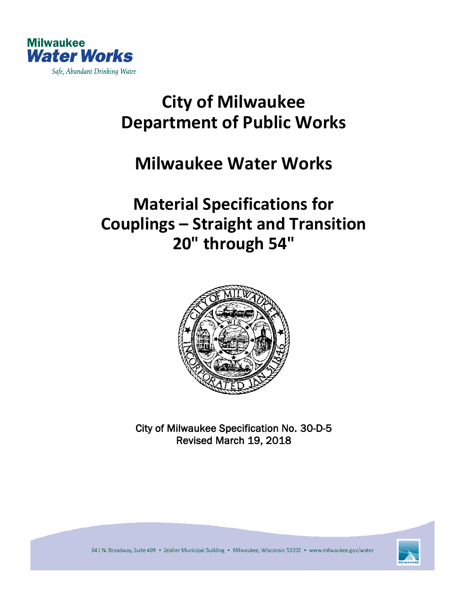

# **City of Milwaukee Department of Public Works**

## **Milwaukee Water Works**

# **Material Specifications for Couplings – Straight and Transition 20" through 54"**



City of Milwaukee Specification No. 30-D-5 Revised March 19, 2018



841 N. Broadway, Suite 409 · Zeidler Municipal Building · Milwaukee, Wisconsin 53202 · www.milwaukee.gov/water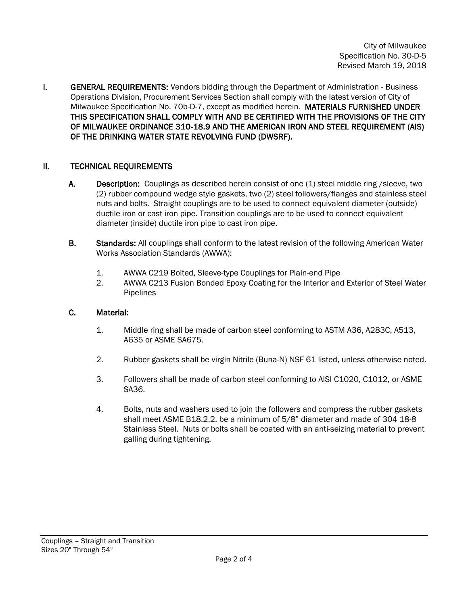**I.** GENERAL REQUIREMENTS: Vendors bidding through the Department of Administration - Business Operations Division, Procurement Services Section shall comply with the latest version of City of Milwaukee Specification No. 70b-D-7, except as modified herein. MATERIALS FURNISHED UNDER THIS SPECIFICATION SHALL COMPLY WITH AND BE CERTIFIED WITH THE PROVISIONS OF THE CITY OF MILWAUKEE ORDINANCE 310-18.9 AND THE AMERICAN IRON AND STEEL REQUIREMENT (AIS) OF THE DRINKING WATER STATE REVOLVING FUND (DWSRF).

### II. TECHNICAL REQUIREMENTS

- A. Description: Couplings as described herein consist of one (1) steel middle ring /sleeve, two (2) rubber compound wedge style gaskets, two (2) steel followers/flanges and stainless steel nuts and bolts. Straight couplings are to be used to connect equivalent diameter (outside) ductile iron or cast iron pipe. Transition couplings are to be used to connect equivalent diameter (inside) ductile iron pipe to cast iron pipe.
- B. Standards: All couplings shall conform to the latest revision of the following American Water Works Association Standards (AWWA):
	- 1. AWWA C219 Bolted, Sleeve-type Couplings for Plain-end Pipe
	- 2. AWWA C213 Fusion Bonded Epoxy Coating for the Interior and Exterior of Steel Water Pipelines

### C. Material:

- 1. Middle ring shall be made of carbon steel conforming to ASTM A36, A283C, A513, A635 or ASME SA675.
- 2. Rubber gaskets shall be virgin Nitrile (Buna-N) NSF 61 listed, unless otherwise noted.
- 3. Followers shall be made of carbon steel conforming to AISI C1020, C1012, or ASME SA36.
- 4. Bolts, nuts and washers used to join the followers and compress the rubber gaskets shall meet ASME B18.2.2, be a minimum of 5/8" diameter and made of 304 18-8 Stainless Steel. Nuts or bolts shall be coated with an anti-seizing material to prevent galling during tightening.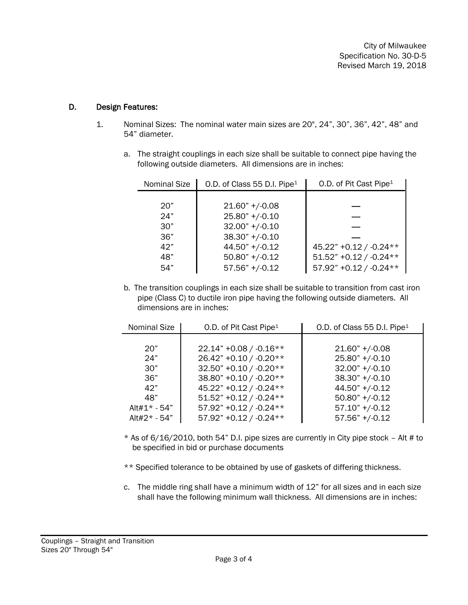City of Milwaukee Specification No. 30-D-5 Revised March 19, 2018

#### D. Design Features:

- 1. Nominal Sizes: The nominal water main sizes are 20", 24", 30", 36", 42", 48" and 54" diameter.
	- a. The straight couplings in each size shall be suitable to connect pipe having the following outside diameters. All dimensions are in inches:

| <b>Nominal Size</b> | O.D. of Class 55 D.I. Pipe <sup>1</sup> | O.D. of Pit Cast Pipe <sup>1</sup> |
|---------------------|-----------------------------------------|------------------------------------|
|                     |                                         |                                    |
| 20"                 | $21.60" + (-0.08)$                      |                                    |
| 24"                 | $25.80" +/-0.10$                        |                                    |
| 30"                 | $32.00" +/-0.10$                        |                                    |
| 36"                 | $38.30" +/-0.10$                        |                                    |
| 42"                 | $44.50"$ +/-0.12                        | 45.22" +0.12 / -0.24 **            |
| 48"                 | $50.80"$ +/-0.12                        | $51.52" + 0.12 / -0.24**$          |
| 54"                 | $57.56" +/-0.12$                        | $57.92" +0.12 / -0.24**$           |

b. The transition couplings in each size shall be suitable to transition from cast iron pipe (Class C) to ductile iron pipe having the following outside diameters. All dimensions are in inches:

| Nominal Size | O.D. of Pit Cast Pipe <sup>1</sup> | O.D. of Class 55 D.I. Pipe <sup>1</sup> |
|--------------|------------------------------------|-----------------------------------------|
|              |                                    |                                         |
| 20"          | $22.14" + 0.08 / -0.16**$          | $21.60"$ +/-0.08                        |
| 24"          | 26.42" +0.10 / -0.20**             | $25.80" +/-0.10$                        |
| 30"          | 32.50" +0.10 / -0.20**             | $32.00" +/-0.10$                        |
| 36"          | 38.80" +0.10 / -0.20**             | $38.30" +/-0.10$                        |
| 42"          | 45.22" +0.12 / -0.24**             | $44.50"$ +/-0.12                        |
| 48"          | $51.52" + 0.12 / -0.24**$          | $50.80"$ +/-0.12                        |
| Alt#1* - 54" | $57.92" + 0.12 / -0.24**$          | $57.10" + (-0.12)$                      |
| Alt#2* - 54" | $57.92" + 0.12 / -0.24**$          | $57.56" +/-0.12$                        |

 $*$  As of 6/16/2010, both 54" D.I. pipe sizes are currently in City pipe stock - Alt # to be specified in bid or purchase documents

\*\* Specified tolerance to be obtained by use of gaskets of differing thickness.

c. The middle ring shall have a minimum width of 12" for all sizes and in each size shall have the following minimum wall thickness. All dimensions are in inches: